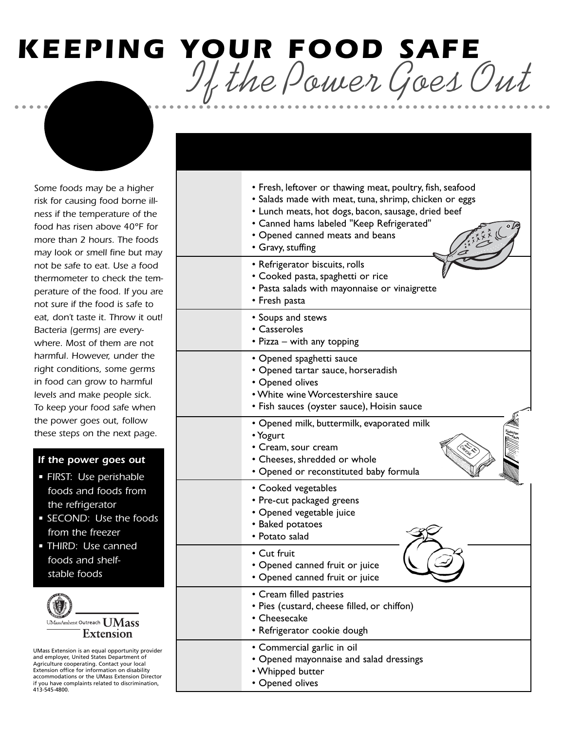# *KEEPING YOUR FOOD SAFE If the Power Goes Out*

*OUT! THROW OUT THESE FOODS if the temperature of the* 

*Some foods may be a higher risk for causing food borne illness if the temperature of the food has risen above 40°F for more than 2 hours. The foods may look or smell fine but may not be safe to eat. Use a food thermometer to check the temperature of the food. If you are not sure if the food is safe to eat, don't taste it. Throw it out! Bacteria (germs) are everywhere. Most of them are not harmful. However, under the right conditions, some germs in food can grow to harmful levels and make people sick. To keep your food safe when the power goes out, follow these steps on the next page.* 

# *If the power goes out*

- *FIRST: Use perishable foods and foods from the refrigerator*
- *SECOND: Use the foods from the freezer*
- *THIRD: Use canned foods and shelfstable foods*



UMass Extension is an equal opportunity provider and employer, United States Department of Agriculture cooperating. Contact your local Extension office for information on disability accommodations or the UMass Extension Director if you have complaints related to discrimination, 413-545-4800.

| • Fresh, leftover or thawing meat, poultry, fish, seafood<br>• Salads made with meat, tuna, shrimp, chicken or eggs<br>• Lunch meats, hot dogs, bacon, sausage, dried beef<br>• Canned hams labeled "Keep Refrigerated"<br>$\sqrt{C}$<br>• Opened canned meats and beans<br>• Gravy, stuffing |
|-----------------------------------------------------------------------------------------------------------------------------------------------------------------------------------------------------------------------------------------------------------------------------------------------|
| • Refrigerator biscuits, rolls<br>• Cooked pasta, spaghetti or rice<br>• Pasta salads with mayonnaise or vinaigrette<br>• Fresh pasta                                                                                                                                                         |
| • Soups and stews<br>• Casseroles<br>• Pizza – with any topping                                                                                                                                                                                                                               |
| • Opened spaghetti sauce<br>· Opened tartar sauce, horseradish<br>• Opened olives<br>• White wine Worcestershire sauce<br>• Fish sauces (oyster sauce), Hoisin sauce                                                                                                                          |
| • Opened milk, buttermilk, evaporated milk<br>• Yogurt<br>• Cream, sour cream<br>• Cheeses, shredded or whole<br>• Opened or reconstituted baby formula                                                                                                                                       |
| • Cooked vegetables<br>• Pre-cut packaged greens<br>• Opened vegetable juice<br>• Baked potatoes<br>• Potato salad                                                                                                                                                                            |
| • Cut fruit<br>• Opened canned fruit or juice<br>· Opened canned fruit or juice                                                                                                                                                                                                               |
| • Cream filled pastries<br>• Pies (custard, cheese filled, or chiffon)<br>• Cheesecake<br>• Refrigerator cookie dough                                                                                                                                                                         |
| • Commercial garlic in oil<br>• Opened mayonnaise and salad dressings<br>• Whipped butter<br>• Opened olives                                                                                                                                                                                  |